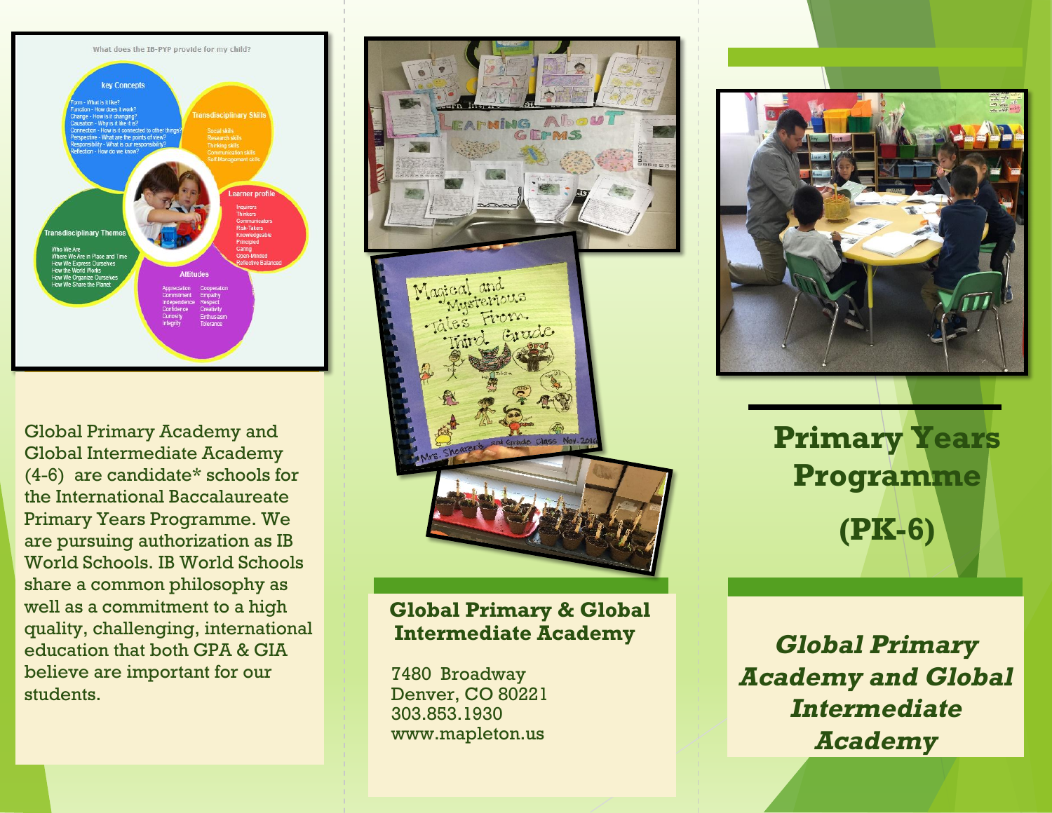

Global Primary Academy and Global Intermediate Academy (4-6) are candidate\* schools for the International Baccalaureate Primary Years Programme. We are pursuing authorization as IB World Schools. IB World Schools share a common philosophy as well as a commitment to a high quality, challenging, international education that both GPA & GIA believe are important for our students.



## **Global Primary & Global Intermediate Academy**

 7480 Broadway Denver, CO 80221 303.853.1930 www.mapleton.us



**Primary Years Programme (PK-6)** 

**Global Primary Academy and Global Intermediate Academy**